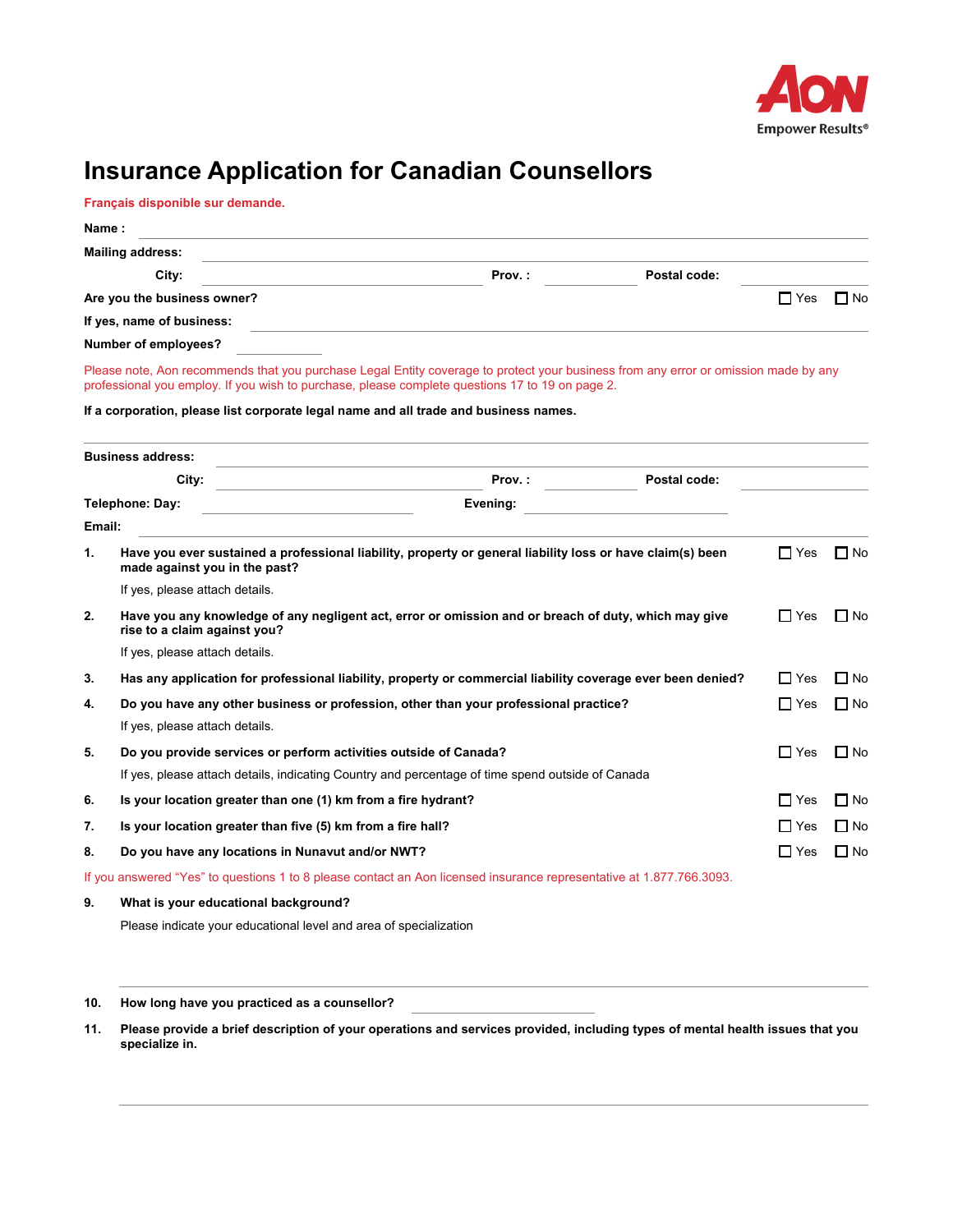

# **Insurance Application for Canadian Counsellors**

**Français disponible sur demande.** 

|        | <b>Mailing address:</b>                                                              |                                                                                                                                                                                                                                        |              |            |           |
|--------|--------------------------------------------------------------------------------------|----------------------------------------------------------------------------------------------------------------------------------------------------------------------------------------------------------------------------------------|--------------|------------|-----------|
|        | City:                                                                                | Prov.:                                                                                                                                                                                                                                 | Postal code: |            |           |
|        | Are you the business owner?                                                          |                                                                                                                                                                                                                                        |              | $\Box$ Yes | $\Box$ No |
|        | If yes, name of business:                                                            |                                                                                                                                                                                                                                        |              |            |           |
|        | Number of employees?                                                                 |                                                                                                                                                                                                                                        |              |            |           |
|        | If a corporation, please list corporate legal name and all trade and business names. | Please note, Aon recommends that you purchase Legal Entity coverage to protect your business from any error or omission made by any<br>professional you employ. If you wish to purchase, please complete questions 17 to 19 on page 2. |              |            |           |
|        | <b>Business address:</b>                                                             |                                                                                                                                                                                                                                        |              |            |           |
|        | City:                                                                                | Prov.:                                                                                                                                                                                                                                 | Postal code: |            |           |
|        | Telephone: Day:                                                                      | Evening:                                                                                                                                                                                                                               |              |            |           |
| Email: |                                                                                      |                                                                                                                                                                                                                                        |              |            |           |
| 1.     | made against you in the past?                                                        | Have you ever sustained a professional liability, property or general liability loss or have claim(s) been                                                                                                                             |              | $\Box$ Yes | $\Box$ No |
|        | If yes, please attach details.                                                       |                                                                                                                                                                                                                                        |              |            |           |
| 2.     | rise to a claim against you?                                                         | Have you any knowledge of any negligent act, error or omission and or breach of duty, which may give                                                                                                                                   |              | $\Box$ Yes | $\Box$ No |
|        | If yes, please attach details.                                                       |                                                                                                                                                                                                                                        |              |            |           |
| 3.     |                                                                                      | Has any application for professional liability, property or commercial liability coverage ever been denied?                                                                                                                            |              | $\Box$ Yes | $\Box$ No |
| 4.     | If yes, please attach details.                                                       | Do you have any other business or profession, other than your professional practice?                                                                                                                                                   |              | $\Box$ Yes | $\Box$ No |
| 5.     | Do you provide services or perform activities outside of Canada?                     |                                                                                                                                                                                                                                        |              | $\Box$ Yes | $\Box$ No |
|        |                                                                                      | If yes, please attach details, indicating Country and percentage of time spend outside of Canada                                                                                                                                       |              |            |           |
| 6.     | Is your location greater than one (1) km from a fire hydrant?                        |                                                                                                                                                                                                                                        |              | $\Box$ Yes | $\Box$ No |
| 7.     | Is your location greater than five (5) km from a fire hall?                          |                                                                                                                                                                                                                                        |              | $\Box$ Yes | $\Box$ No |
|        |                                                                                      |                                                                                                                                                                                                                                        |              |            |           |
| 8.     | Do you have any locations in Nunavut and/or NWT?                                     |                                                                                                                                                                                                                                        |              | $\Box$ Yes | $\Box$ No |
|        |                                                                                      | If you answered "Yes" to questions 1 to 8 please contact an Aon licensed insurance representative at 1.877.766.3093.                                                                                                                   |              |            |           |
| 9.     | What is your educational background?                                                 |                                                                                                                                                                                                                                        |              |            |           |
|        | Please indicate your educational level and area of specialization                    |                                                                                                                                                                                                                                        |              |            |           |

**10. How long have you practiced as a counsellor?** 

**11. Please provide a brief description of your operations and services provided, including types of mental health issues that you specialize in.**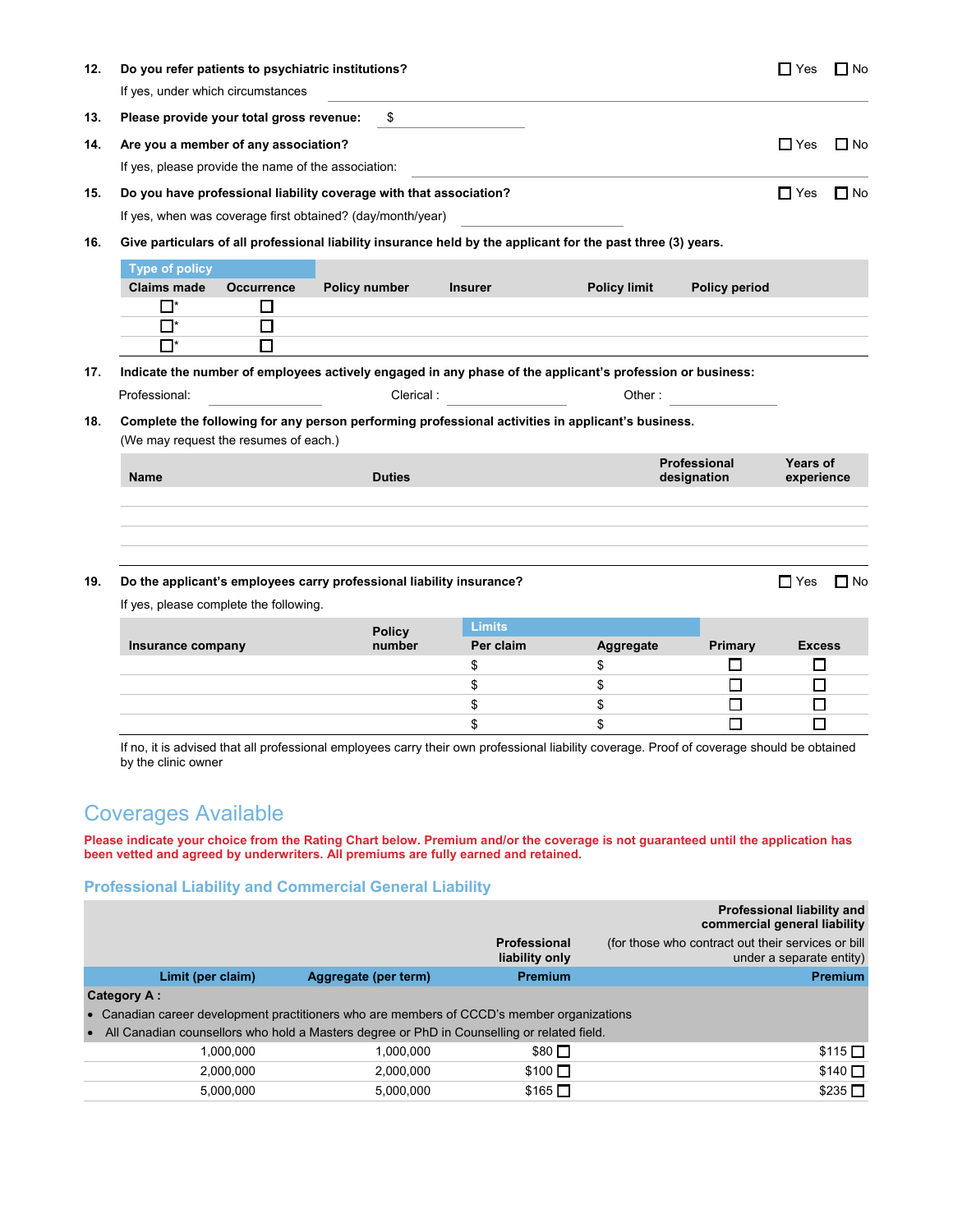| 12. | Do you refer patients to psychiatric institutions?<br>If yes, under which circumstances |                   |                                                                                                              |                |                     |                      | ∐ Yes         | $\Box$ No |
|-----|-----------------------------------------------------------------------------------------|-------------------|--------------------------------------------------------------------------------------------------------------|----------------|---------------------|----------------------|---------------|-----------|
| 13. | Please provide your total gross revenue:                                                |                   | \$                                                                                                           |                |                     |                      |               |           |
|     |                                                                                         |                   |                                                                                                              |                |                     |                      |               |           |
| 14. | Are you a member of any association?                                                    |                   |                                                                                                              |                |                     |                      | $\Box$ Yes    | $\Box$ No |
|     | If yes, please provide the name of the association:                                     |                   |                                                                                                              |                |                     |                      |               |           |
| 15. |                                                                                         |                   | Do you have professional liability coverage with that association?                                           |                |                     |                      | $\Box$ Yes    | $\Box$ No |
|     |                                                                                         |                   | If yes, when was coverage first obtained? (day/month/year)                                                   |                |                     |                      |               |           |
| 16. |                                                                                         |                   | Give particulars of all professional liability insurance held by the applicant for the past three (3) years. |                |                     |                      |               |           |
|     | <b>Type of policy</b>                                                                   |                   |                                                                                                              |                |                     |                      |               |           |
|     | <b>Claims made</b>                                                                      | <b>Occurrence</b> | Policy number                                                                                                | <b>Insurer</b> | <b>Policy limit</b> | <b>Policy period</b> |               |           |
|     | $\Box^*$                                                                                | □                 |                                                                                                              |                |                     |                      |               |           |
|     | $\Box^*$                                                                                | $\Box$            |                                                                                                              |                |                     |                      |               |           |
|     | $\Box^*$                                                                                | □                 |                                                                                                              |                |                     |                      |               |           |
| 17. |                                                                                         |                   | Indicate the number of employees actively engaged in any phase of the applicant's profession or business:    |                |                     |                      |               |           |
|     | Professional:                                                                           |                   | Clerical:                                                                                                    |                | Other:              |                      |               |           |
|     |                                                                                         |                   |                                                                                                              |                |                     |                      |               |           |
| 18. |                                                                                         |                   | Complete the following for any person performing professional activities in applicant's business.            |                |                     |                      |               |           |
|     | (We may request the resumes of each.)                                                   |                   |                                                                                                              |                |                     |                      |               |           |
|     |                                                                                         |                   |                                                                                                              |                |                     | Professional         | Years of      |           |
|     | Name                                                                                    |                   | <b>Duties</b>                                                                                                |                |                     | designation          | experience    |           |
| 19. | If yes, please complete the following.                                                  |                   | Do the applicant's employees carry professional liability insurance?                                         |                |                     |                      | $\Box$ Yes    | ∏ No      |
|     |                                                                                         |                   |                                                                                                              | <b>Limits</b>  |                     |                      |               |           |
|     | Insurance company                                                                       |                   | <b>Policy</b><br>number                                                                                      | Per claim      | Aggregate           | Primary              | <b>Excess</b> |           |
|     |                                                                                         |                   |                                                                                                              | \$             | \$                  | $\Box$               | □             |           |
|     |                                                                                         |                   |                                                                                                              | \$             | \$                  | $\Box$               | □             |           |
|     |                                                                                         |                   |                                                                                                              | \$             | \$                  | □                    | □             |           |

# Coverages Available

**Please indicate your choice from the Rating Chart below. Premium and/or the coverage is not guaranteed until the application has been vetted and agreed by underwriters. All premiums are fully earned and retained.** 

### **Professional Liability and Commercial General Liability**

|                                                                                            |                                                                                            |                                | Professional liability and<br>commercial general liability                     |
|--------------------------------------------------------------------------------------------|--------------------------------------------------------------------------------------------|--------------------------------|--------------------------------------------------------------------------------|
|                                                                                            |                                                                                            | Professional<br>liability only | (for those who contract out their services or bill<br>under a separate entity) |
| Limit (per claim)                                                                          | Aggregate (per term)                                                                       | Premium                        | <b>Premium</b>                                                                 |
| <b>Category A:</b>                                                                         |                                                                                            |                                |                                                                                |
| • Canadian career development practitioners who are members of CCCD's member organizations |                                                                                            |                                |                                                                                |
| $\bullet$                                                                                  | All Canadian counsellors who hold a Masters degree or PhD in Counselling or related field. |                                |                                                                                |
| 1.000.000                                                                                  | 1,000,000                                                                                  | $$80$ $\square$                | $$115$ $\Box$                                                                  |
| 2.000.000                                                                                  | 2,000,000                                                                                  | $$100$ $\Box$                  | $$140$ $\square$                                                               |
| 5.000.000                                                                                  | 5,000,000                                                                                  | $$165$ $\Box$                  | \$235                                                                          |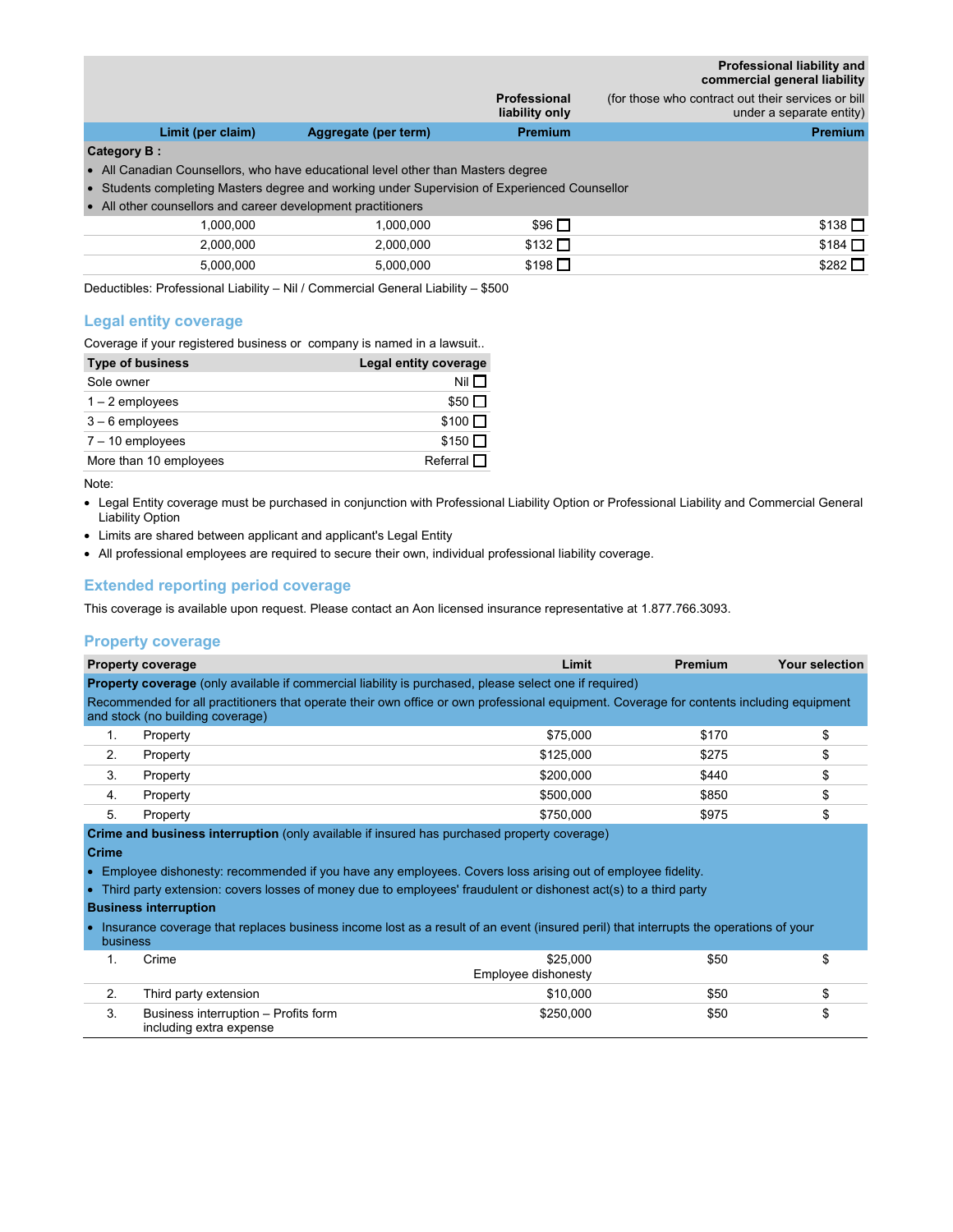**Professional liability and commercial general liability**

|             |                   |                                                                                              | Professional<br>liability only | (for those who contract out their services or bill)<br>under a separate entity) |
|-------------|-------------------|----------------------------------------------------------------------------------------------|--------------------------------|---------------------------------------------------------------------------------|
|             | Limit (per claim) | Aggregate (per term)                                                                         | <b>Premium</b>                 | <b>Premium</b>                                                                  |
| Category B: |                   |                                                                                              |                                |                                                                                 |
|             |                   | • All Canadian Counsellors, who have educational level other than Masters degree             |                                |                                                                                 |
|             |                   | • Students completing Masters degree and working under Supervision of Experienced Counsellor |                                |                                                                                 |
|             |                   | • All other counsellors and career development practitioners                                 |                                |                                                                                 |
|             | 1.000.000         | 1,000,000                                                                                    | $$96$ $\square$                | $$138$ $\square$                                                                |
|             | 2,000,000         | 2,000,000                                                                                    | $$132$ $\Box$                  | $$184$ $\Box$                                                                   |
|             | 5,000,000         | 5,000,000                                                                                    | $$198$ $\square$               | $$282$ $\square$                                                                |
|             |                   |                                                                                              |                                |                                                                                 |

Deductibles: Professional Liability – Nil / Commercial General Liability – \$500

### **Legal entity coverage**

Coverage if your registered business or company is named in a lawsuit..

| <b>Type of business</b> | Legal entity coverage |
|-------------------------|-----------------------|
| Sole owner              | Nil $\Box$            |
| $1 - 2$ employees       | $$50$ $\Pi$           |
| $3-6$ employees         | $$100$ $\Box$         |
| $7 - 10$ employees      | $$150$ $\Pi$          |
| More than 10 employees  | Referral $\Box$       |

Note:

- Legal Entity coverage must be purchased in conjunction with Professional Liability Option or Professional Liability and Commercial General Liability Option
- Limits are shared between applicant and applicant's Legal Entity
- All professional employees are required to secure their own, individual professional liability coverage.

### **Extended reporting period coverage**

This coverage is available upon request. Please contact an Aon licensed insurance representative at 1.877.766.3093.

#### **Property coverage**

|    | <b>Property coverage</b>                                                                                                                                                     | Limit     | Premium | Your selection |  |  |
|----|------------------------------------------------------------------------------------------------------------------------------------------------------------------------------|-----------|---------|----------------|--|--|
|    | Property coverage (only available if commercial liability is purchased, please select one if required)                                                                       |           |         |                |  |  |
|    | Recommended for all practitioners that operate their own office or own professional equipment. Coverage for contents including equipment<br>and stock (no building coverage) |           |         |                |  |  |
|    | Property                                                                                                                                                                     | \$75,000  | \$170   |                |  |  |
| 2. | Property                                                                                                                                                                     | \$125,000 | \$275   |                |  |  |
| 3. | Property                                                                                                                                                                     | \$200,000 | \$440   |                |  |  |
| 4. | Property                                                                                                                                                                     | \$500.000 | \$850   |                |  |  |
| 5. | Property                                                                                                                                                                     | \$750.000 | \$975   |                |  |  |
|    | <b>Crime and business interruption</b> (only available if insured has purchased property coverage)                                                                           |           |         |                |  |  |

**Crime** 

- Employee dishonesty: recommended if you have any employees. Covers loss arising out of employee fidelity.
- Third party extension: covers losses of money due to employees' fraudulent or dishonest act(s) to a third party

#### **Business interruption**

• Insurance coverage that replaces business income lost as a result of an event (insured peril) that interrupts the operations of your

|    | business                                                        |                                 |      |  |  |  |
|----|-----------------------------------------------------------------|---------------------------------|------|--|--|--|
|    | Crime                                                           | \$25,000<br>Employee dishonesty | \$50 |  |  |  |
| ۷. | Third party extension                                           | \$10,000                        | \$50 |  |  |  |
| 3. | Business interruption - Profits form<br>including extra expense | \$250,000                       | \$50 |  |  |  |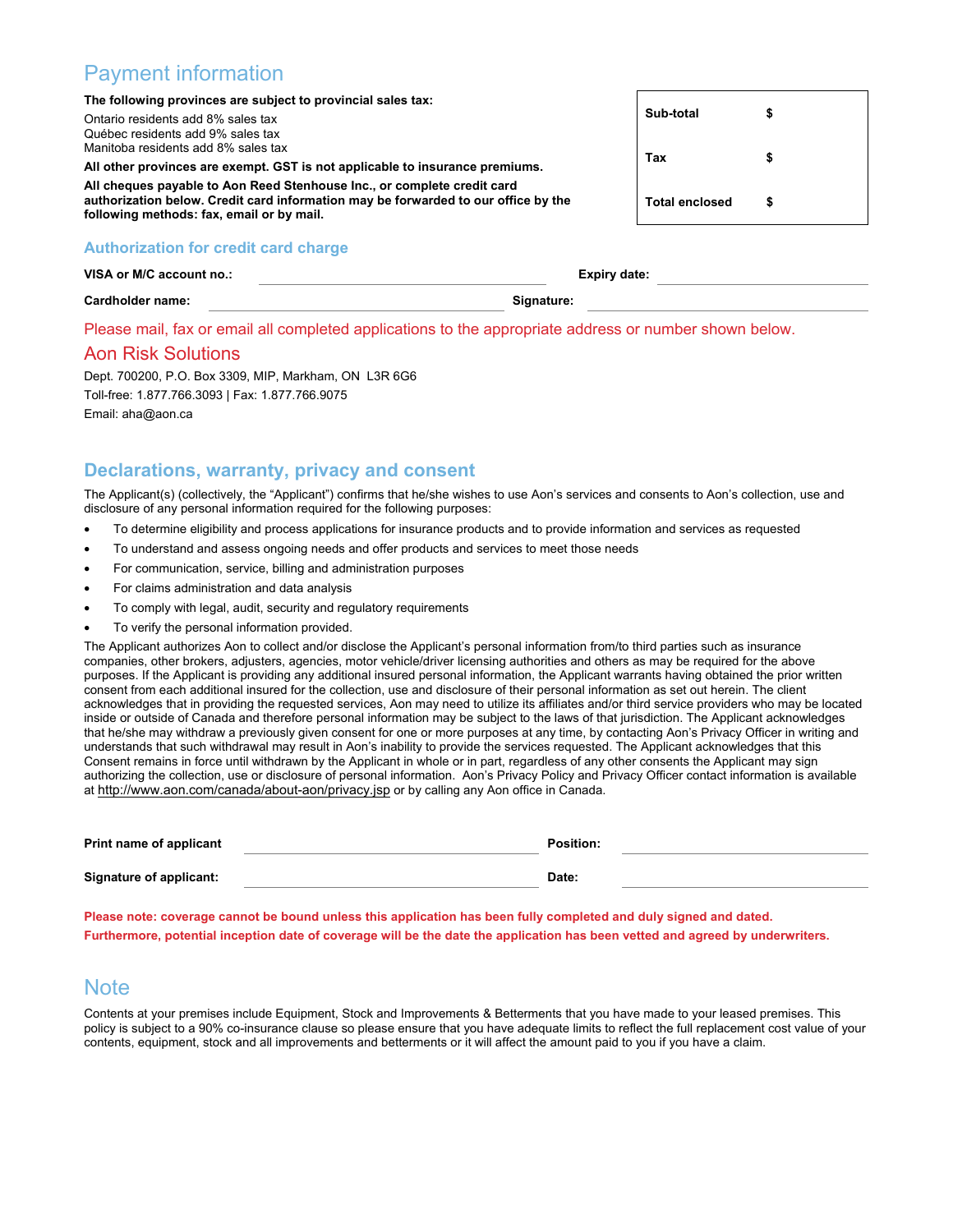# Payment information

**The following provinces are subject to provincial sales tax:**  Ontario residents add 8% sales tax Québec residents add 9% sales tax Manitoba residents add 8% sales tax **All other provinces are exempt. GST is not applicable to insurance premiums. All cheques payable to Aon Reed Stenhouse Inc., or complete credit card authorization below. Credit card information may be forwarded to our office by the following methods: fax, email or by mail. Sub-total \$ Tax \$ Total enclosed \$** 

### **Authorization for credit card charge**

| VISA or M/C account no.: | <b>Expiry date:</b> |
|--------------------------|---------------------|
| Cardholder name:         | Signature:          |

Please mail, fax or email all completed applications to the appropriate address or number shown below.

### Aon Risk Solutions

Dept. 700200, P.O. Box 3309, MIP, Markham, ON L3R 6G6 Toll-free: 1.877.766.3093 | Fax: 1.877.766.9075 Email: aha@aon.ca

### **Declarations, warranty, privacy and consent**

The Applicant(s) (collectively, the "Applicant") confirms that he/she wishes to use Aon's services and consents to Aon's collection, use and disclosure of any personal information required for the following purposes:

- To determine eligibility and process applications for insurance products and to provide information and services as requested
- To understand and assess ongoing needs and offer products and services to meet those needs
- For communication, service, billing and administration purposes
- For claims administration and data analysis
- To comply with legal, audit, security and regulatory requirements
- To verify the personal information provided.

The Applicant authorizes Aon to collect and/or disclose the Applicant's personal information from/to third parties such as insurance companies, other brokers, adjusters, agencies, motor vehicle/driver licensing authorities and others as may be required for the above purposes. If the Applicant is providing any additional insured personal information, the Applicant warrants having obtained the prior written consent from each additional insured for the collection, use and disclosure of their personal information as set out herein. The client acknowledges that in providing the requested services, Aon may need to utilize its affiliates and/or third service providers who may be located inside or outside of Canada and therefore personal information may be subject to the laws of that jurisdiction. The Applicant acknowledges that he/she may withdraw a previously given consent for one or more purposes at any time, by contacting Aon's Privacy Officer in writing and understands that such withdrawal may result in Aon's inability to provide the services requested. The Applicant acknowledges that this Consent remains in force until withdrawn by the Applicant in whole or in part, regardless of any other consents the Applicant may sign authorizing the collection, use or disclosure of personal information. Aon's Privacy Policy and Privacy Officer contact information is available at http://www.aon.com/canada/about-aon/privacy.jsp or by calling any Aon office in Canada.

| Print name of applicant        | <b>Position:</b> |  |
|--------------------------------|------------------|--|
| <b>Signature of applicant:</b> | Date:            |  |

**Please note: coverage cannot be bound unless this application has been fully completed and duly signed and dated. Furthermore, potential inception date of coverage will be the date the application has been vetted and agreed by underwriters.** 

## **Note**

Contents at your premises include Equipment, Stock and Improvements & Betterments that you have made to your leased premises. This policy is subject to a 90% co-insurance clause so please ensure that you have adequate limits to reflect the full replacement cost value of your contents, equipment, stock and all improvements and betterments or it will affect the amount paid to you if you have a claim.